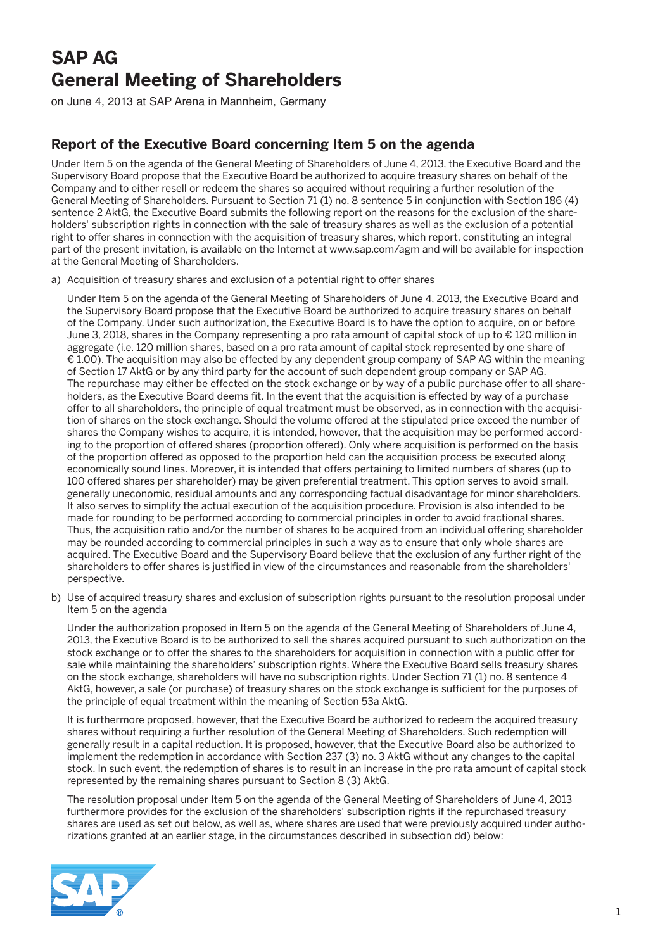## **SAP AG General Meeting of Shareholders**

on June 4, 2013 at SAP Arena in Mannheim, Germany

## **Report of the Executive Board concerning Item 5 on the agenda**

Under Item 5 on the agenda of the General Meeting of Shareholders of June 4, 2013, the Executive Board and the Supervisory Board propose that the Executive Board be authorized to acquire treasury shares on behalf of the Company and to either resell or redeem the shares so acquired without requiring a further resolution of the General Meeting of Shareholders. Pursuant to Section 71 (1) no. 8 sentence 5 in conjunction with Section 186 (4) sentence 2 AktG, the Executive Board submits the following report on the reasons for the exclusion of the shareholders' subscription rights in connection with the sale of treasury shares as well as the exclusion of a potential right to offer shares in connection with the acquisition of treasury shares, which report, constituting an integral part of the present invitation, is available on the Internet at www.sap.com/agm and will be available for inspection at the General Meeting of Shareholders.

a) Acquisition of treasury shares and exclusion of a potential right to offer shares

 Under Item 5 on the agenda of the General Meeting of Shareholders of June 4, 2013, the Executive Board and the Supervisory Board propose that the Executive Board be authorized to acquire treasury shares on behalf of the Company. Under such authorization, the Executive Board is to have the option to acquire, on or before June 3, 2018, shares in the Company representing a pro rata amount of capital stock of up to € 120 million in aggregate (i.e. 120 million shares, based on a pro rata amount of capital stock represented by one share of € 1.00). The acquisition may also be effected by any dependent group company of SAP AG within the meaning of Section 17 AktG or by any third party for the account of such dependent group company or SAP AG. The repurchase may either be effected on the stock exchange or by way of a public purchase offer to all shareholders, as the Executive Board deems fit. In the event that the acquisition is effected by way of a purchase offer to all shareholders, the principle of equal treatment must be observed, as in connection with the acquisition of shares on the stock exchange. Should the volume offered at the stipulated price exceed the number of shares the Company wishes to acquire, it is intended, however, that the acquisition may be performed according to the proportion of offered shares (proportion offered). Only where acquisition is performed on the basis of the proportion offered as opposed to the proportion held can the acquisition process be executed along economically sound lines. Moreover, it is intended that offers pertaining to limited numbers of shares (up to 100 offered shares per shareholder) may be given preferential treatment. This option serves to avoid small, generally uneconomic, residual amounts and any corresponding factual disadvantage for minor shareholders. It also serves to simplify the actual execution of the acquisition procedure. Provision is also intended to be made for rounding to be performed according to commercial principles in order to avoid fractional shares. Thus, the acquisition ratio and/or the number of shares to be acquired from an individual offering shareholder may be rounded according to commercial principles in such a way as to ensure that only whole shares are acquired. The Executive Board and the Supervisory Board believe that the exclusion of any further right of the shareholders to offer shares is justified in view of the circumstances and reasonable from the shareholders' perspective.

b) Use of acquired treasury shares and exclusion of subscription rights pursuant to the resolution proposal under Item 5 on the agenda

 Under the authorization proposed in Item 5 on the agenda of the General Meeting of Shareholders of June 4, 2013, the Executive Board is to be authorized to sell the shares acquired pursuant to such authorization on the stock exchange or to offer the shares to the shareholders for acquisition in connection with a public offer for sale while maintaining the shareholders' subscription rights. Where the Executive Board sells treasury shares on the stock exchange, shareholders will have no subscription rights. Under Section 71 (1) no. 8 sentence 4 AktG, however, a sale (or purchase) of treasury shares on the stock exchange is sufficient for the purposes of the principle of equal treatment within the meaning of Section 53a AktG.

 It is furthermore proposed, however, that the Executive Board be authorized to redeem the acquired treasury shares without requiring a further resolution of the General Meeting of Shareholders. Such redemption will generally result in a capital reduction. It is proposed, however, that the Executive Board also be authorized to implement the redemption in accordance with Section 237 (3) no. 3 AktG without any changes to the capital stock. In such event, the redemption of shares is to result in an increase in the pro rata amount of capital stock represented by the remaining shares pursuant to Section 8 (3) AktG.

 The resolution proposal under Item 5 on the agenda of the General Meeting of Shareholders of June 4, 2013 furthermore provides for the exclusion of the shareholders' subscription rights if the repurchased treasury shares are used as set out below, as well as, where shares are used that were previously acquired under authorizations granted at an earlier stage, in the circumstances described in subsection dd) below:

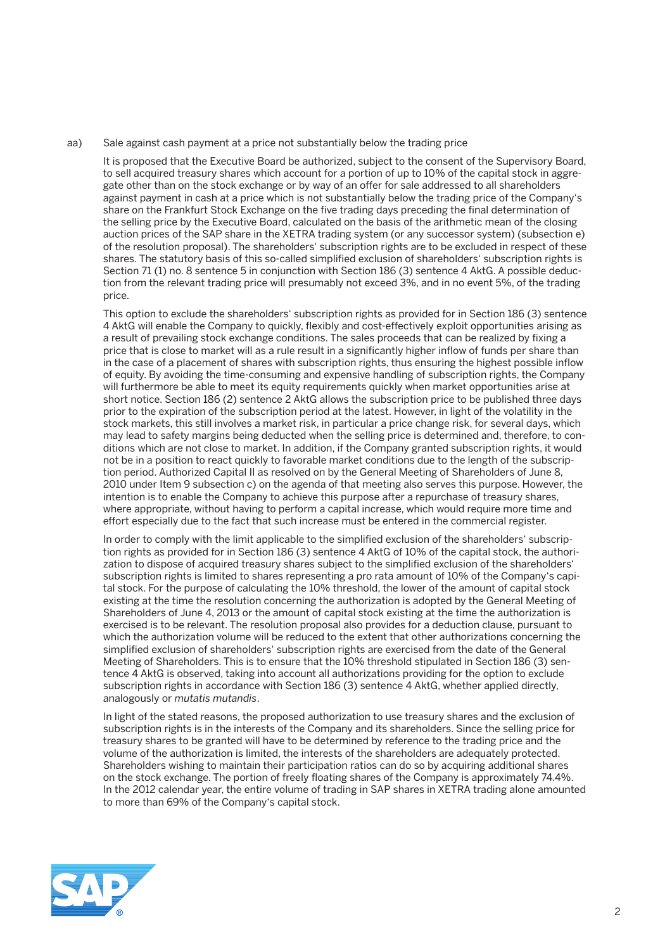aa) Sale against cash payment at a price not substantially below the trading price

 It is proposed that the Executive Board be authorized, subject to the consent of the Supervisory Board, to sell acquired treasury shares which account for a portion of up to 10% of the capital stock in aggregate other than on the stock exchange or by way of an offer for sale addressed to all shareholders against payment in cash at a price which is not substantially below the trading price of the Company's share on the Frankfurt Stock Exchange on the five trading days preceding the final determination of the selling price by the Executive Board, calculated on the basis of the arithmetic mean of the closing auction prices of the SAP share in the XETRA trading system (or any successor system) (subsection e) of the resolution proposal). The shareholders' subscription rights are to be excluded in respect of these shares. The statutory basis of this so-called simplified exclusion of shareholders' subscription rights is Section 71 (1) no. 8 sentence 5 in conjunction with Section 186 (3) sentence 4 AktG. A possible deduction from the relevant trading price will presumably not exceed 3%, and in no event 5%, of the trading price.

 This option to exclude the shareholders' subscription rights as provided for in Section 186 (3) sentence 4 AktG will enable the Company to quickly, flexibly and cost-effectively exploit opportunities arising as a result of prevailing stock exchange conditions. The sales proceeds that can be realized by fixing a price that is close to market will as a rule result in a significantly higher inflow of funds per share than in the case of a placement of shares with subscription rights, thus ensuring the highest possible inflow of equity. By avoiding the time-consuming and expensive handling of subscription rights, the Company will furthermore be able to meet its equity requirements quickly when market opportunities arise at short notice. Section 186 (2) sentence 2 AktG allows the subscription price to be published three days prior to the expiration of the subscription period at the latest. However, in light of the volatility in the stock markets, this still involves a market risk, in particular a price change risk, for several days, which may lead to safety margins being deducted when the selling price is determined and, therefore, to conditions which are not close to market. In addition, if the Company granted subscription rights, it would not be in a position to react quickly to favorable market conditions due to the length of the subscription period. Authorized Capital II as resolved on by the General Meeting of Shareholders of June 8, 2010 under Item 9 subsection c) on the agenda of that meeting also serves this purpose. However, the intention is to enable the Company to achieve this purpose after a repurchase of treasury shares, where appropriate, without having to perform a capital increase, which would require more time and effort especially due to the fact that such increase must be entered in the commercial register.

 In order to comply with the limit applicable to the simplified exclusion of the shareholders' subscription rights as provided for in Section 186 (3) sentence 4 AktG of 10% of the capital stock, the authorization to dispose of acquired treasury shares subject to the simplified exclusion of the shareholders' subscription rights is limited to shares representing a pro rata amount of 10% of the Company's capital stock. For the purpose of calculating the 10% threshold, the lower of the amount of capital stock existing at the time the resolution concerning the authorization is adopted by the General Meeting of Shareholders of June 4, 2013 or the amount of capital stock existing at the time the authorization is exercised is to be relevant. The resolution proposal also provides for a deduction clause, pursuant to which the authorization volume will be reduced to the extent that other authorizations concerning the simplified exclusion of shareholders' subscription rights are exercised from the date of the General Meeting of Shareholders. This is to ensure that the 10% threshold stipulated in Section 186 (3) sentence 4 AktG is observed, taking into account all authorizations providing for the option to exclude subscription rights in accordance with Section 186 (3) sentence 4 AktG, whether applied directly, analogously or *mutatis mutandis*.

 In light of the stated reasons, the proposed authorization to use treasury shares and the exclusion of subscription rights is in the interests of the Company and its shareholders. Since the selling price for treasury shares to be granted will have to be determined by reference to the trading price and the volume of the authorization is limited, the interests of the shareholders are adequately protected. Shareholders wishing to maintain their participation ratios can do so by acquiring additional shares on the stock exchange. The portion of freely floating shares of the Company is approximately 74.4%. In the 2012 calendar year, the entire volume of trading in SAP shares in XETRA trading alone amounted to more than 69% of the Company's capital stock.

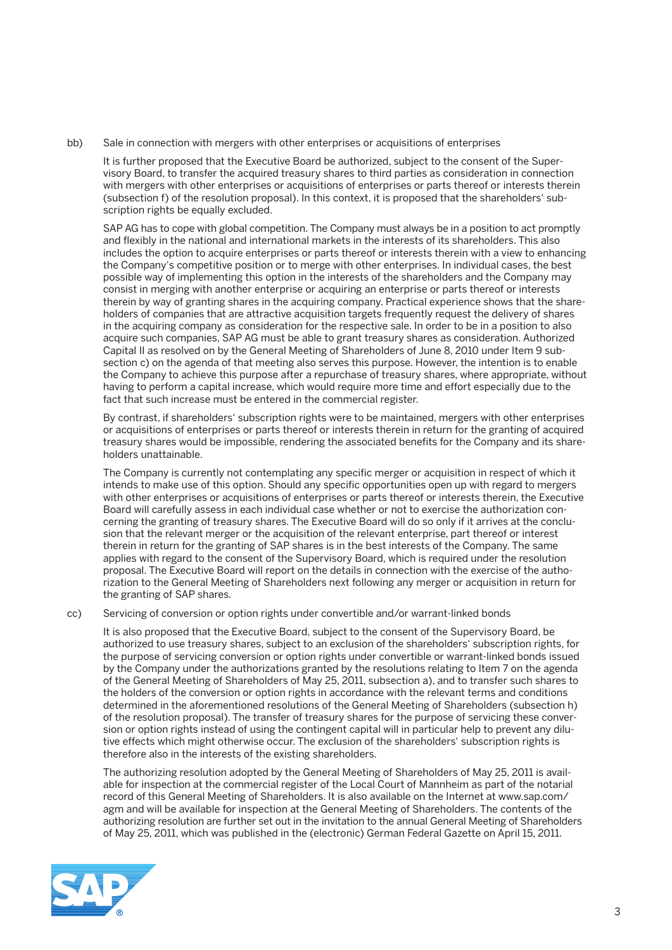bb) Sale in connection with mergers with other enterprises or acquisitions of enterprises

 It is further proposed that the Executive Board be authorized, subject to the consent of the Supervisory Board, to transfer the acquired treasury shares to third parties as consideration in connection with mergers with other enterprises or acquisitions of enterprises or parts thereof or interests therein (subsection f) of the resolution proposal). In this context, it is proposed that the shareholders' subscription rights be equally excluded.

SAP AG has to cope with global competition. The Company must always be in a position to act promptly and flexibly in the national and international markets in the interests of its shareholders. This also includes the option to acquire enterprises or parts thereof or interests therein with a view to enhancing the Company's competitive position or to merge with other enterprises. In individual cases, the best possible way of implementing this option in the interests of the shareholders and the Company may consist in merging with another enterprise or acquiring an enterprise or parts thereof or interests therein by way of granting shares in the acquiring company. Practical experience shows that the shareholders of companies that are attractive acquisition targets frequently request the delivery of shares in the acquiring company as consideration for the respective sale. In order to be in a position to also acquire such companies, SAP AG must be able to grant treasury shares as consideration. Authorized Capital II as resolved on by the General Meeting of Shareholders of June 8, 2010 under Item 9 subsection c) on the agenda of that meeting also serves this purpose. However, the intention is to enable the Company to achieve this purpose after a repurchase of treasury shares, where appropriate, without having to perform a capital increase, which would require more time and effort especially due to the fact that such increase must be entered in the commercial register.

 By contrast, if shareholders' subscription rights were to be maintained, mergers with other enterprises or acquisitions of enterprises or parts thereof or interests therein in return for the granting of acquired treasury shares would be impossible, rendering the associated benefits for the Company and its shareholders unattainable.

 The Company is currently not contemplating any specific merger or acquisition in respect of which it intends to make use of this option. Should any specific opportunities open up with regard to mergers with other enterprises or acquisitions of enterprises or parts thereof or interests therein, the Executive Board will carefully assess in each individual case whether or not to exercise the authorization concerning the granting of treasury shares. The Executive Board will do so only if it arrives at the conclusion that the relevant merger or the acquisition of the relevant enterprise, part thereof or interest therein in return for the granting of SAP shares is in the best interests of the Company. The same applies with regard to the consent of the Supervisory Board, which is required under the resolution proposal. The Executive Board will report on the details in connection with the exercise of the authorization to the General Meeting of Shareholders next following any merger or acquisition in return for the granting of SAP shares.

cc) Servicing of conversion or option rights under convertible and/or warrant-linked bonds

 It is also proposed that the Executive Board, subject to the consent of the Supervisory Board, be authorized to use treasury shares, subject to an exclusion of the shareholders' subscription rights, for the purpose of servicing conversion or option rights under convertible or warrant-linked bonds issued by the Company under the authorizations granted by the resolutions relating to Item 7 on the agenda of the General Meeting of Shareholders of May 25, 2011, subsection a), and to transfer such shares to the holders of the conversion or option rights in accordance with the relevant terms and conditions determined in the aforementioned resolutions of the General Meeting of Shareholders (subsection h) of the resolution proposal). The transfer of treasury shares for the purpose of servicing these conversion or option rights instead of using the contingent capital will in particular help to prevent any dilutive effects which might otherwise occur. The exclusion of the shareholders' subscription rights is therefore also in the interests of the existing shareholders.

 The authorizing resolution adopted by the General Meeting of Shareholders of May 25, 2011 is available for inspection at the commercial register of the Local Court of Mannheim as part of the notarial record of this General Meeting of Shareholders. It is also available on the Internet at www.sap.com/ agm and will be available for inspection at the General Meeting of Shareholders. The contents of the authorizing resolution are further set out in the invitation to the annual General Meeting of Shareholders of May 25, 2011, which was published in the (electronic) German Federal Gazette on April 15, 2011.

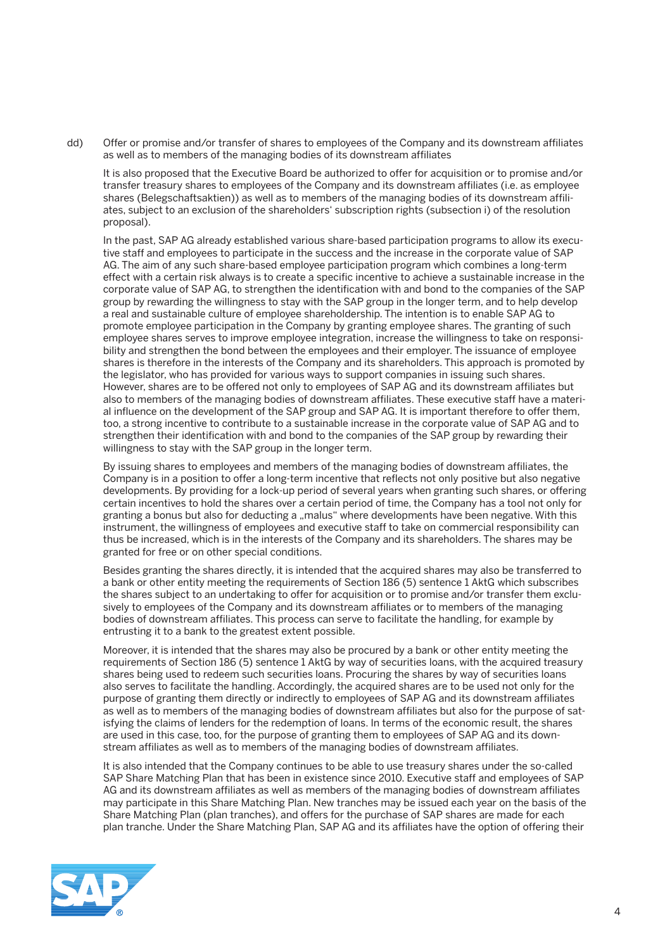dd) Offer or promise and/or transfer of shares to employees of the Company and its downstream affiliates as well as to members of the managing bodies of its downstream affiliates

 It is also proposed that the Executive Board be authorized to offer for acquisition or to promise and/or transfer treasury shares to employees of the Company and its downstream affiliates (i.e. as employee shares (Belegschaftsaktien)) as well as to members of the managing bodies of its downstream affiliates, subject to an exclusion of the shareholders' subscription rights (subsection i) of the resolution proposal).

 In the past, SAP AG already established various share-based participation programs to allow its executive staff and employees to participate in the success and the increase in the corporate value of SAP AG. The aim of any such share-based employee participation program which combines a long-term effect with a certain risk always is to create a specific incentive to achieve a sustainable increase in the corporate value of SAP AG, to strengthen the identification with and bond to the companies of the SAP group by rewarding the willingness to stay with the SAP group in the longer term, and to help develop a real and sustainable culture of employee shareholdership. The intention is to enable SAP AG to promote employee participation in the Company by granting employee shares. The granting of such employee shares serves to improve employee integration, increase the willingness to take on responsibility and strengthen the bond between the employees and their employer. The issuance of employee shares is therefore in the interests of the Company and its shareholders. This approach is promoted by the legislator, who has provided for various ways to support companies in issuing such shares. However, shares are to be offered not only to employees of SAP AG and its downstream affiliates but also to members of the managing bodies of downstream affiliates. These executive staff have a material influence on the development of the SAP group and SAP AG. It is important therefore to offer them, too, a strong incentive to contribute to a sustainable increase in the corporate value of SAP AG and to strengthen their identification with and bond to the companies of the SAP group by rewarding their willingness to stay with the SAP group in the longer term.

 By issuing shares to employees and members of the managing bodies of downstream affiliates, the Company is in a position to offer a long-term incentive that reflects not only positive but also negative developments. By providing for a lock-up period of several years when granting such shares, or offering certain incentives to hold the shares over a certain period of time, the Company has a tool not only for granting a bonus but also for deducting a "malus" where developments have been negative. With this instrument, the willingness of employees and executive staff to take on commercial responsibility can thus be increased, which is in the interests of the Company and its shareholders. The shares may be granted for free or on other special conditions.

 Besides granting the shares directly, it is intended that the acquired shares may also be transferred to a bank or other entity meeting the requirements of Section 186 (5) sentence 1 AktG which subscribes the shares subject to an undertaking to offer for acquisition or to promise and/or transfer them exclusively to employees of the Company and its downstream affiliates or to members of the managing bodies of downstream affiliates. This process can serve to facilitate the handling, for example by entrusting it to a bank to the greatest extent possible.

 Moreover, it is intended that the shares may also be procured by a bank or other entity meeting the requirements of Section 186 (5) sentence 1 AktG by way of securities loans, with the acquired treasury shares being used to redeem such securities loans. Procuring the shares by way of securities loans also serves to facilitate the handling. Accordingly, the acquired shares are to be used not only for the purpose of granting them directly or indirectly to employees of SAP AG and its downstream affiliates as well as to members of the managing bodies of downstream affiliates but also for the purpose of satisfying the claims of lenders for the redemption of loans. In terms of the economic result, the shares are used in this case, too, for the purpose of granting them to employees of SAP AG and its downstream affiliates as well as to members of the managing bodies of downstream affiliates.

 It is also intended that the Company continues to be able to use treasury shares under the so-called SAP Share Matching Plan that has been in existence since 2010. Executive staff and employees of SAP AG and its downstream affiliates as well as members of the managing bodies of downstream affiliates may participate in this Share Matching Plan. New tranches may be issued each year on the basis of the Share Matching Plan (plan tranches), and offers for the purchase of SAP shares are made for each plan tranche. Under the Share Matching Plan, SAP AG and its affiliates have the option of offering their